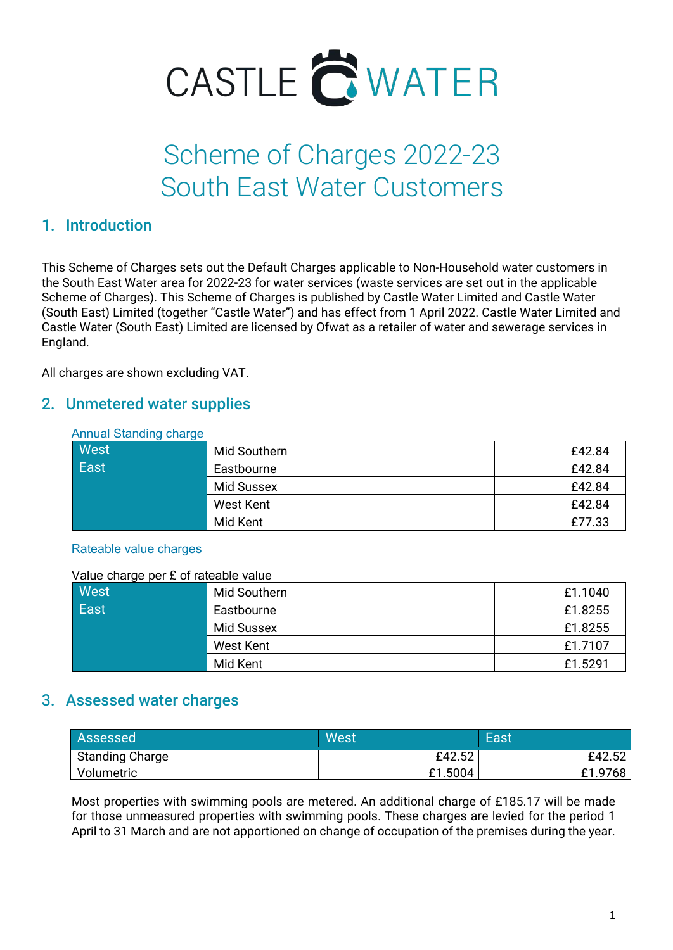

# Scheme of Charges 2022-23 South East Water Customers

## 1. Introduction

This Scheme of Charges sets out the Default Charges applicable to Non-Household water customers in the South East Water area for 2022-23 for water services (waste services are set out in the applicable Scheme of Charges). This Scheme of Charges is published by Castle Water Limited and Castle Water (South East) Limited (together "Castle Water") and has effect from 1 April 2022. Castle Water Limited and Castle Water (South East) Limited are licensed by Ofwat as a retailer of water and sewerage services in England.

All charges are shown excluding VAT.

## 2. Unmetered water supplies

#### Annual Standing charge

| West | Mid Southern | £42.84 |
|------|--------------|--------|
| East | Eastbourne   | £42.84 |
|      | Mid Sussex   | £42.84 |
|      | West Kent    | £42.84 |
|      | Mid Kent     | £77.33 |

#### Rateable value charges

Value charge per £ of rateable value

| West        | Mid Southern | £1.1040 |
|-------------|--------------|---------|
| <b>East</b> | Eastbourne   | £1.8255 |
|             | Mid Sussex   | £1.8255 |
|             | West Kent    | £1.7107 |
|             | Mid Kent     | £1.5291 |

## 3. Assessed water charges

| Assessed               | West    | East         |
|------------------------|---------|--------------|
| <b>Standing Charge</b> | £42.52  | £42.52       |
| Volumetric             | £1.5004 | 1.9768<br>£1 |

Most properties with swimming pools are metered. An additional charge of £185.17 will be made for those unmeasured properties with swimming pools. These charges are levied for the period 1 April to 31 March and are not apportioned on change of occupation of the premises during the year.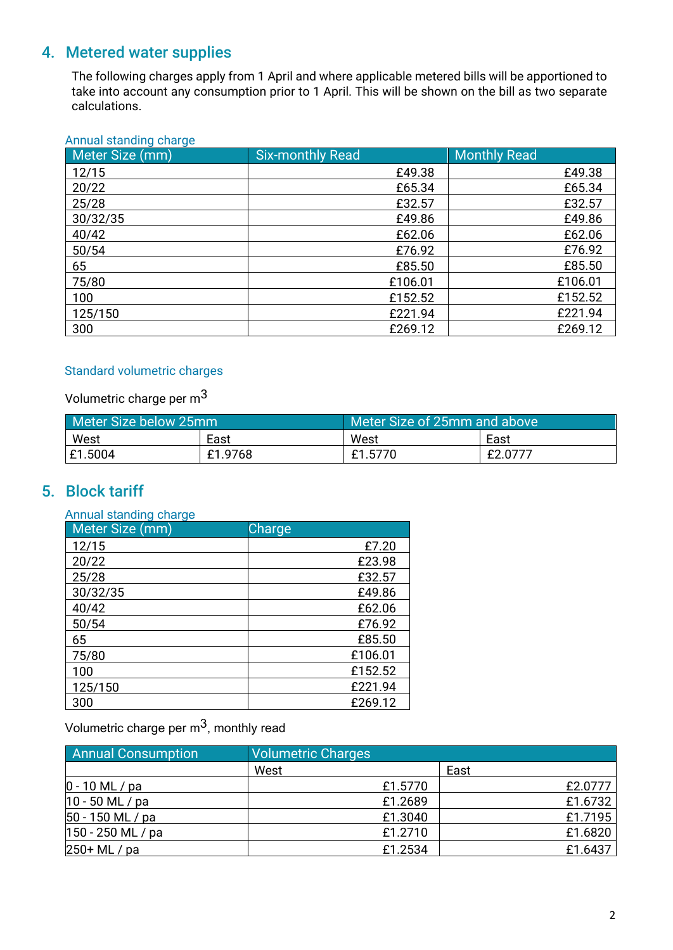# 4. Metered water supplies

The following charges apply from 1 April and where applicable metered bills will be apportioned to take into account any consumption prior to 1 April. This will be shown on the bill as two separate calculations.

#### Annual standing charge

| Meter Size (mm) | <b>Six-monthly Read</b> | <b>Monthly Read</b> |
|-----------------|-------------------------|---------------------|
| 12/15           | £49.38                  | £49.38              |
| 20/22           | £65.34                  | £65.34              |
| 25/28           | £32.57                  | £32.57              |
| 30/32/35        | £49.86                  | £49.86              |
| 40/42           | £62.06                  | £62.06              |
| 50/54           | £76.92                  | £76.92              |
| 65              | £85.50                  | £85.50              |
| 75/80           | £106.01                 | £106.01             |
| 100             | £152.52                 | £152.52             |
| 125/150         | £221.94                 | £221.94             |
| 300             | £269.12                 | £269.12             |

#### Standard volumetric charges

Volumetric charge per m3

| Meter Size below 25mm |         | Meter Size of 25mm and above |         |
|-----------------------|---------|------------------------------|---------|
| West                  | East    | West                         | East    |
| E1.5004               | £1.9768 | £1.5770                      | £2.0777 |

## 5. Block tariff

| Annual standing charge |               |
|------------------------|---------------|
| Meter Size (mm)        | <b>Charge</b> |
| 12/15                  | £7.20         |
| 20/22                  | £23.98        |
| 25/28                  | £32.57        |
| 30/32/35               | £49.86        |
| 40/42                  | £62.06        |
| 50/54                  | £76.92        |
| 65                     | £85.50        |
| 75/80                  | £106.01       |
| 100                    | £152.52       |
| 125/150                | £221.94       |
| 300                    | £269.12       |

Volumetric charge per  $m^3$ , monthly read

| <b>Annual Consumption</b> | <b>Volumetric Charges</b> |         |
|---------------------------|---------------------------|---------|
|                           | West                      | East    |
| $0 - 10$ ML / pa          | £1.5770                   | £2.0777 |
| 10 - 50 ML / pa           | £1.2689                   | £1.6732 |
| 50 - 150 ML / pa          | £1.3040                   | £1.7195 |
| 150 - 250 ML / pa         | £1.2710                   | £1.6820 |
| 250+ ML / pa              | £1.2534                   | £1.6437 |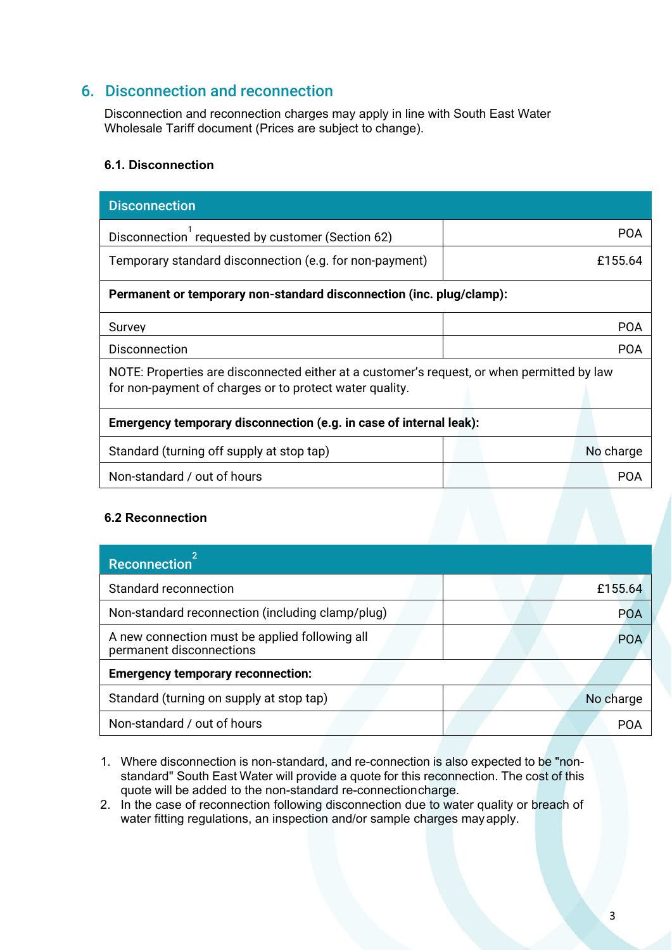## 6. Disconnection and reconnection

Disconnection and reconnection charges may apply in line with South East Water Wholesale Tariff document (Prices are subject to change).

#### **6.1. Disconnection**

| <b>Disconnection</b>                                                                                                                                  |            |  |
|-------------------------------------------------------------------------------------------------------------------------------------------------------|------------|--|
| Disconnection requested by customer (Section 62)                                                                                                      | <b>POA</b> |  |
| Temporary standard disconnection (e.g. for non-payment)                                                                                               | £155.64    |  |
| Permanent or temporary non-standard disconnection (inc. plug/clamp):                                                                                  |            |  |
| Survey                                                                                                                                                | <b>POA</b> |  |
| Disconnection                                                                                                                                         | <b>POA</b> |  |
| NOTE: Properties are disconnected either at a customer's request, or when permitted by law<br>for non-payment of charges or to protect water quality. |            |  |
| Emergency temporary disconnection (e.g. in case of internal leak):                                                                                    |            |  |
| Standard (turning off supply at stop tap)                                                                                                             | No charge  |  |
| Non-standard / out of hours                                                                                                                           | <b>POA</b> |  |
|                                                                                                                                                       |            |  |

#### **6.2 Reconnection**

| Reconnection <sup>21</sup>                                                 |           |
|----------------------------------------------------------------------------|-----------|
| Standard reconnection                                                      | £155.64   |
| Non-standard reconnection (including clamp/plug)                           | POA       |
| A new connection must be applied following all<br>permanent disconnections | POA       |
| <b>Emergency temporary reconnection:</b>                                   |           |
| Standard (turning on supply at stop tap)                                   | No charge |
| Non-standard / out of hours                                                |           |

- 1. Where disconnection is non-standard, and re-connection is also expected to be "nonstandard" South East Water will provide a quote for this reconnection. The cost of this quote will be added to the non-standard re-connectioncharge.
- 2. In the case of reconnection following disconnection due to water quality or breach of water fitting regulations, an inspection and/or sample charges mayapply.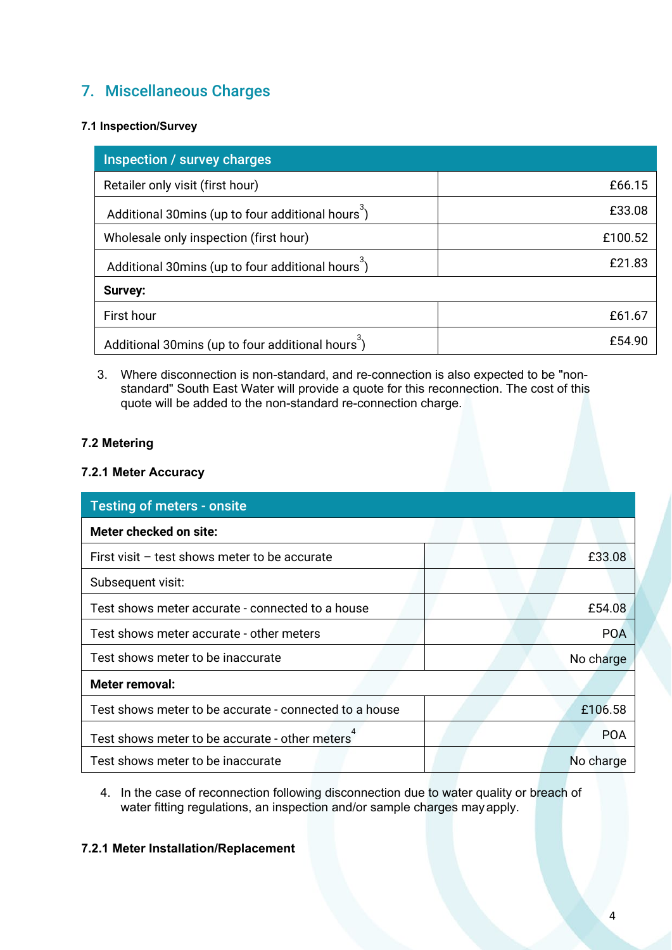## 7. Miscellaneous Charges

#### **7.1 Inspection/Survey**

| Inspection / survey charges                                   |         |
|---------------------------------------------------------------|---------|
| Retailer only visit (first hour)                              | £66.15  |
| Additional 30mins (up to four additional hours <sup>3</sup> ) | £33.08  |
| Wholesale only inspection (first hour)                        | £100.52 |
| Additional 30mins (up to four additional hours <sup>3</sup> ) | £21.83  |
| <b>Survey:</b>                                                |         |
| First hour                                                    | £61.67  |
| Additional 30mins (up to four additional hours <sup>3</sup> ) | £54.90  |

3. Where disconnection is non-standard, and re-connection is also expected to be "nonstandard" South East Water will provide a quote for this reconnection. The cost of this quote will be added to the non-standard re-connection charge.

#### **7.2 Metering**

#### **7.2.1 Meter Accuracy**

| <b>Testing of meters - onsite</b>                      |            |
|--------------------------------------------------------|------------|
| Meter checked on site:                                 |            |
| First visit $-$ test shows meter to be accurate        | £33.08     |
| Subsequent visit:                                      |            |
| Test shows meter accurate - connected to a house       | £54.08     |
| Test shows meter accurate - other meters               | <b>POA</b> |
| Test shows meter to be inaccurate                      | No charge  |
| Meter removal:                                         |            |
| Test shows meter to be accurate - connected to a house | £106.58    |
| Test shows meter to be accurate - other meters         | <b>POA</b> |
| Test shows meter to be inaccurate                      | No charge  |

4. In the case of reconnection following disconnection due to water quality or breach of water fitting regulations, an inspection and/or sample charges mayapply.

#### **7.2.1 Meter Installation/Replacement**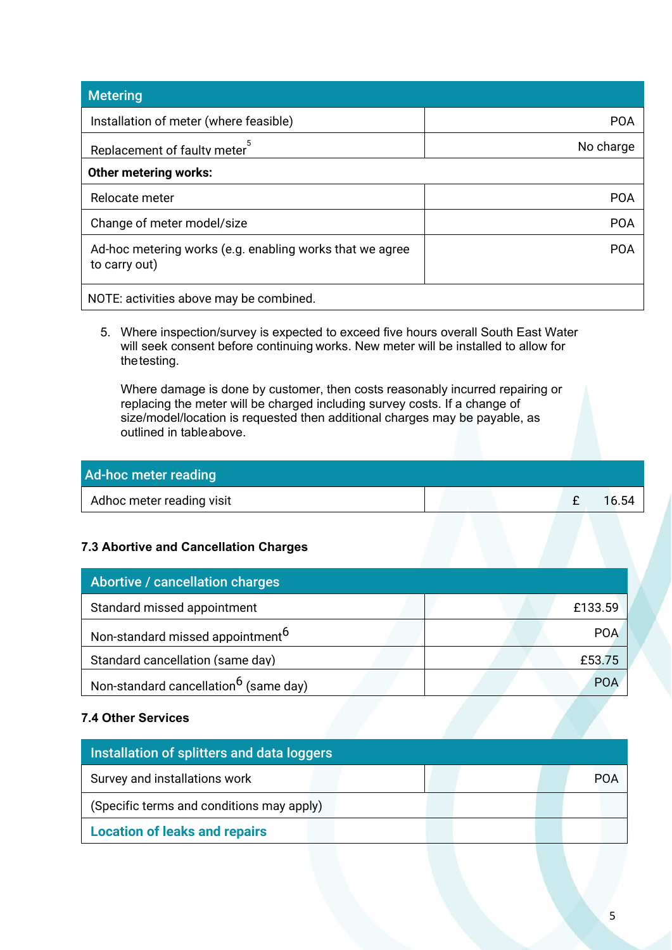| <b>Metering</b>                                                           |            |
|---------------------------------------------------------------------------|------------|
| Installation of meter (where feasible)                                    | <b>POA</b> |
| Replacement of faulty meter                                               | No charge  |
| <b>Other metering works:</b>                                              |            |
| Relocate meter                                                            | <b>POA</b> |
| Change of meter model/size                                                | <b>POA</b> |
| Ad-hoc metering works (e.g. enabling works that we agree<br>to carry out) | <b>POA</b> |
| NOTE: activities above may be combined.                                   |            |

5. Where inspection/survey is expected to exceed five hours overall South East Water will seek consent before continuing works. New meter will be installed to allow for thetesting.

Where damage is done by customer, then costs reasonably incurred repairing or replacing the meter will be charged including survey costs. If a change of size/model/location is requested then additional charges may be payable, as outlined in tableabove.

### Ad-hoc meter reading

| Adhoc meter reading visit |  |  |
|---------------------------|--|--|
|                           |  |  |

### **7.3 Abortive and Cancellation Charges**

| Abortive / cancellation charges                   |            |
|---------------------------------------------------|------------|
| Standard missed appointment                       | £133.59    |
| Non-standard missed appointment <sup>6</sup>      | <b>POA</b> |
| Standard cancellation (same day)                  | £53.75     |
| Non-standard cancellation <sup>6</sup> (same day) | <b>POA</b> |

#### **7.4 Other Services**

| Installation of splitters and data loggers |  |  |
|--------------------------------------------|--|--|
| Survey and installations work              |  |  |
| (Specific terms and conditions may apply)  |  |  |
| <b>Location of leaks and repairs</b>       |  |  |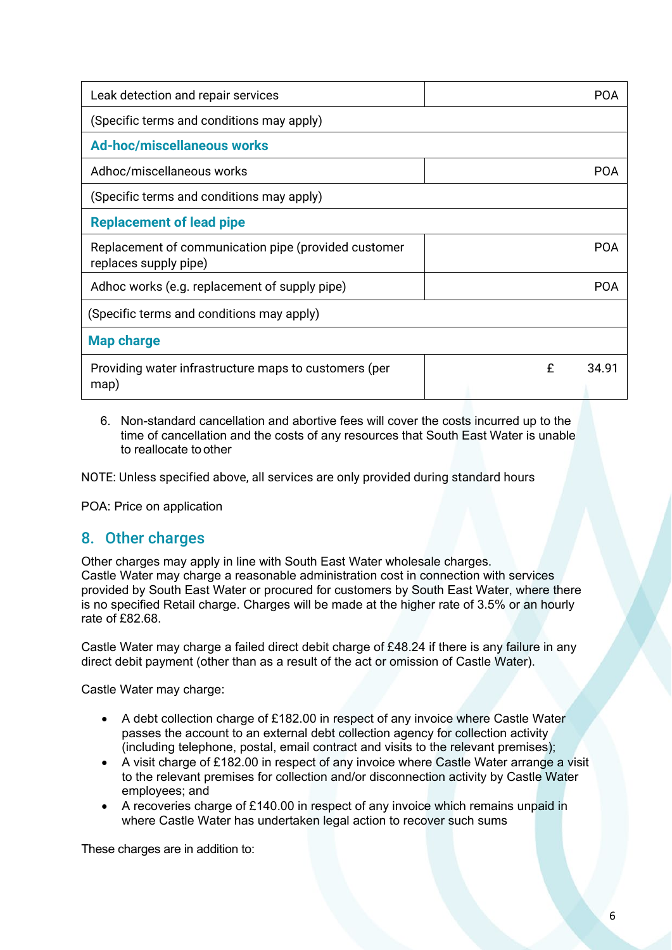| Leak detection and repair services                                            |   | P <sub>(</sub> )A |
|-------------------------------------------------------------------------------|---|-------------------|
| (Specific terms and conditions may apply)                                     |   |                   |
| <b>Ad-hoc/miscellaneous works</b>                                             |   |                   |
| Adhoc/miscellaneous works                                                     |   | POA               |
| (Specific terms and conditions may apply)                                     |   |                   |
| <b>Replacement of lead pipe</b>                                               |   |                   |
| Replacement of communication pipe (provided customer<br>replaces supply pipe) |   | POA               |
| Adhoc works (e.g. replacement of supply pipe)                                 |   | POA               |
| (Specific terms and conditions may apply)                                     |   |                   |
| <b>Map charge</b>                                                             |   |                   |
| Providing water infrastructure maps to customers (per<br>map)                 | £ | 34.91             |

6. Non-standard cancellation and abortive fees will cover the costs incurred up to the time of cancellation and the costs of any resources that South East Water is unable to reallocate toother

NOTE: Unless specified above, all services are only provided during standard hours

POA: Price on application

## 8. Other charges

Other charges may apply in line with South East Water wholesale charges. Castle Water may charge a reasonable administration cost in connection with services provided by South East Water or procured for customers by South East Water, where there is no specified Retail charge. Charges will be made at the higher rate of 3.5% or an hourly rate of £82.68.

Castle Water may charge a failed direct debit charge of £48.24 if there is any failure in any direct debit payment (other than as a result of the act or omission of Castle Water).

Castle Water may charge:

- A debt collection charge of £182.00 in respect of any invoice where Castle Water passes the account to an external debt collection agency for collection activity (including telephone, postal, email contract and visits to the relevant premises);
- A visit charge of £182.00 in respect of any invoice where Castle Water arrange a visit to the relevant premises for collection and/or disconnection activity by Castle Water employees; and
- A recoveries charge of £140.00 in respect of any invoice which remains unpaid in where Castle Water has undertaken legal action to recover such sums

These charges are in addition to: